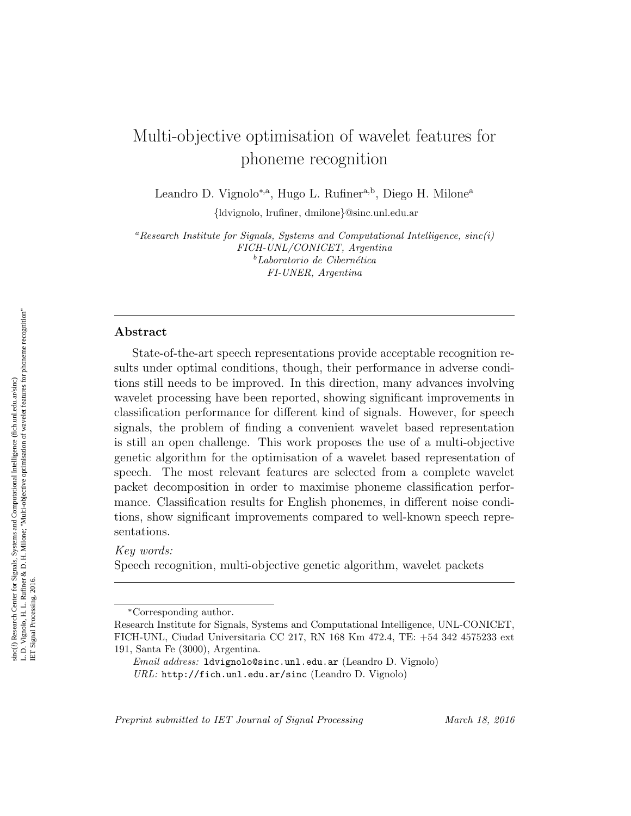# Multi-objective optimisation of wavelet features for phoneme recognition

Leandro D. Vignolo<sup>∗,a</sup>, Hugo L. Rufiner<sup>a,b</sup>, Diego H. Milone<sup>a</sup>

{ldvignolo, lrufiner, dmilone}@sinc.unl.edu.ar

<sup>a</sup>Research Institute for Signals, Systems and Computational Intelligence,  $sinc(i)$ FICH-UNL/CONICET, Argentina  $<sup>b</sup>$ Laboratorio de Cibernética</sup> FI-UNER, Argentina

#### Abstract

State-of-the-art speech representations provide acceptable recognition results under optimal conditions, though, their performance in adverse conditions still needs to be improved. In this direction, many advances involving wavelet processing have been reported, showing significant improvements in classification performance for different kind of signals. However, for speech signals, the problem of finding a convenient wavelet based representation is still an open challenge. This work proposes the use of a multi-objective genetic algorithm for the optimisation of a wavelet based representation of speech. The most relevant features are selected from a complete wavelet packet decomposition in order to maximise phoneme classification performance. Classification results for English phonemes, in different noise conditions, show significant improvements compared to well-known speech representations.

Key words:

Speech recognition, multi-objective genetic algorithm, wavelet packets

Preprint submitted to IET Journal of Signal Processing March 18, 2016

<sup>∗</sup>Corresponding author.

Research Institute for Signals, Systems and Computational Intelligence, UNL-CONICET, FICH-UNL, Ciudad Universitaria CC 217, RN 168 Km 472.4, TE: +54 342 4575233 ext 191, Santa Fe (3000), Argentina.

Email address: ldvignolo@sinc.unl.edu.ar (Leandro D. Vignolo) URL: http://fich.unl.edu.ar/sinc (Leandro D. Vignolo)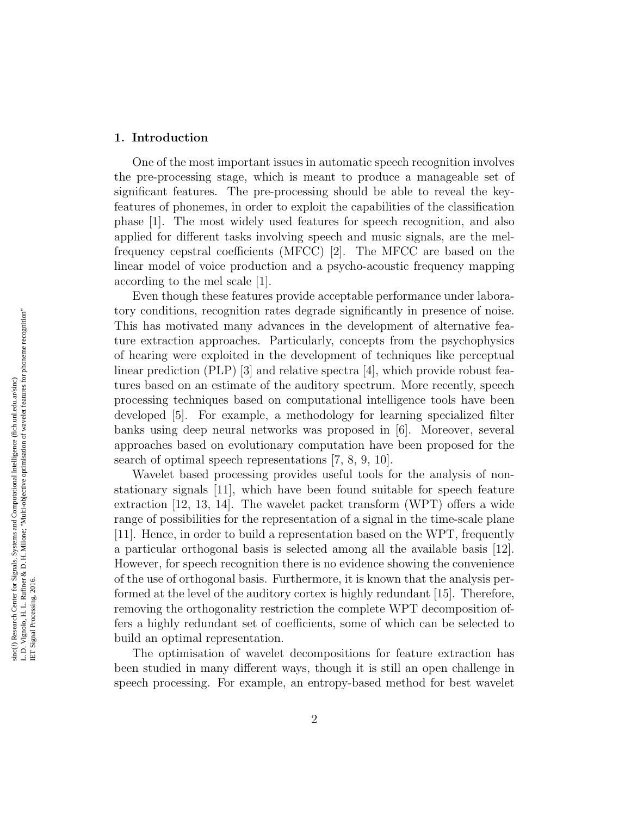## 1. Introduction

One of the most important issues in automatic speech recognition involves the pre-processing stage, which is meant to produce a manageable set of significant features. The pre-processing should be able to reveal the keyfeatures of phonemes, in order to exploit the capabilities of the classification phase [\[1\]](#page-18-0). The most widely used features for speech recognition, and also applied for different tasks involving speech and music signals, are the melfrequency cepstral coefficients (MFCC) [\[2\]](#page-18-1). The MFCC are based on the linear model of voice production and a psycho-acoustic frequency mapping according to the mel scale [\[1\]](#page-18-0).

Even though these features provide acceptable performance under laboratory conditions, recognition rates degrade significantly in presence of noise. This has motivated many advances in the development of alternative feature extraction approaches. Particularly, concepts from the psychophysics of hearing were exploited in the development of techniques like perceptual linear prediction  $(PLP)$  [\[3\]](#page-18-2) and relative spectra [\[4\]](#page-18-3), which provide robust features based on an estimate of the auditory spectrum. More recently, speech processing techniques based on computational intelligence tools have been developed [\[5\]](#page-18-4). For example, a methodology for learning specialized filter banks using deep neural networks was proposed in [\[6\]](#page-18-5). Moreover, several approaches based on evolutionary computation have been proposed for the search of optimal speech representations [\[7,](#page-18-6) [8,](#page-18-7) [9,](#page-19-0) [10\]](#page-19-1).

Wavelet based processing provides useful tools for the analysis of nonstationary signals [\[11\]](#page-19-2), which have been found suitable for speech feature extraction [\[12,](#page-19-3) [13,](#page-19-4) [14\]](#page-19-5). The wavelet packet transform (WPT) offers a wide range of possibilities for the representation of a signal in the time-scale plane [\[11\]](#page-19-2). Hence, in order to build a representation based on the WPT, frequently a particular orthogonal basis is selected among all the available basis [\[12\]](#page-19-3). However, for speech recognition there is no evidence showing the convenience of the use of orthogonal basis. Furthermore, it is known that the analysis performed at the level of the auditory cortex is highly redundant [\[15\]](#page-19-6). Therefore, removing the orthogonality restriction the complete WPT decomposition offers a highly redundant set of coefficients, some of which can be selected to build an optimal representation.

The optimisation of wavelet decompositions for feature extraction has been studied in many different ways, though it is still an open challenge in speech processing. For example, an entropy-based method for best wavelet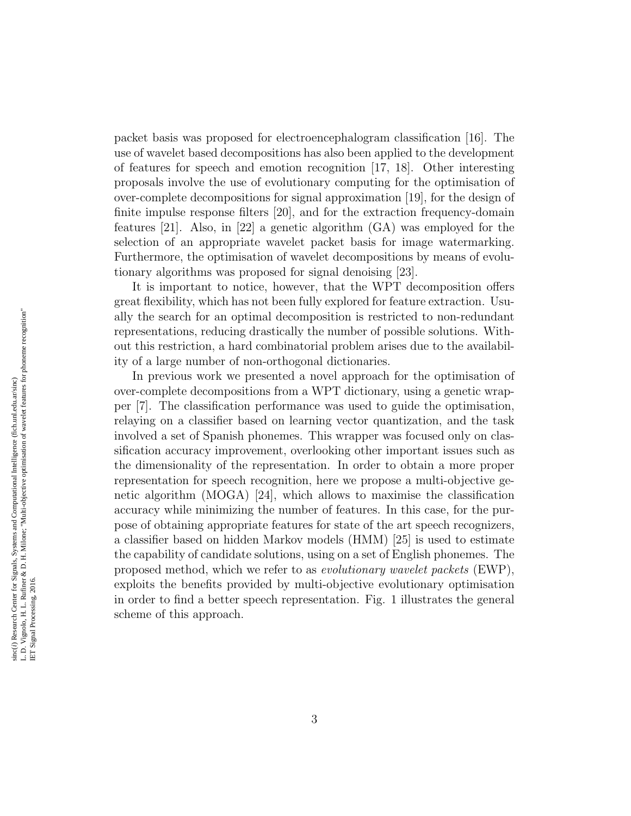packet basis was proposed for electroencephalogram classification [\[16\]](#page-19-7). The use of wavelet based decompositions has also been applied to the development of features for speech and emotion recognition [\[17,](#page-19-8) [18\]](#page-19-9). Other interesting proposals involve the use of evolutionary computing for the optimisation of over-complete decompositions for signal approximation [\[19\]](#page-20-0), for the design of finite impulse response filters [\[20\]](#page-20-1), and for the extraction frequency-domain features [\[21\]](#page-20-2). Also, in [\[22\]](#page-20-3) a genetic algorithm (GA) was employed for the selection of an appropriate wavelet packet basis for image watermarking. Furthermore, the optimisation of wavelet decompositions by means of evolutionary algorithms was proposed for signal denoising [\[23\]](#page-20-4).

It is important to notice, however, that the WPT decomposition offers great flexibility, which has not been fully explored for feature extraction. Usually the search for an optimal decomposition is restricted to non-redundant representations, reducing drastically the number of possible solutions. Without this restriction, a hard combinatorial problem arises due to the availability of a large number of non-orthogonal dictionaries.

In previous work we presented a novel approach for the optimisation of over-complete decompositions from a WPT dictionary, using a genetic wrapper [\[7\]](#page-18-6). The classification performance was used to guide the optimisation, relaying on a classifier based on learning vector quantization, and the task involved a set of Spanish phonemes. This wrapper was focused only on classification accuracy improvement, overlooking other important issues such as the dimensionality of the representation. In order to obtain a more proper representation for speech recognition, here we propose a multi-objective genetic algorithm (MOGA) [\[24\]](#page-20-5), which allows to maximise the classification accuracy while minimizing the number of features. In this case, for the purpose of obtaining appropriate features for state of the art speech recognizers, a classifier based on hidden Markov models (HMM) [\[25\]](#page-20-6) is used to estimate the capability of candidate solutions, using on a set of English phonemes. The proposed method, which we refer to as evolutionary wavelet packets (EWP), exploits the benefits provided by multi-objective evolutionary optimisation in order to find a better speech representation. Fig. [1](#page-3-0) illustrates the general scheme of this approach.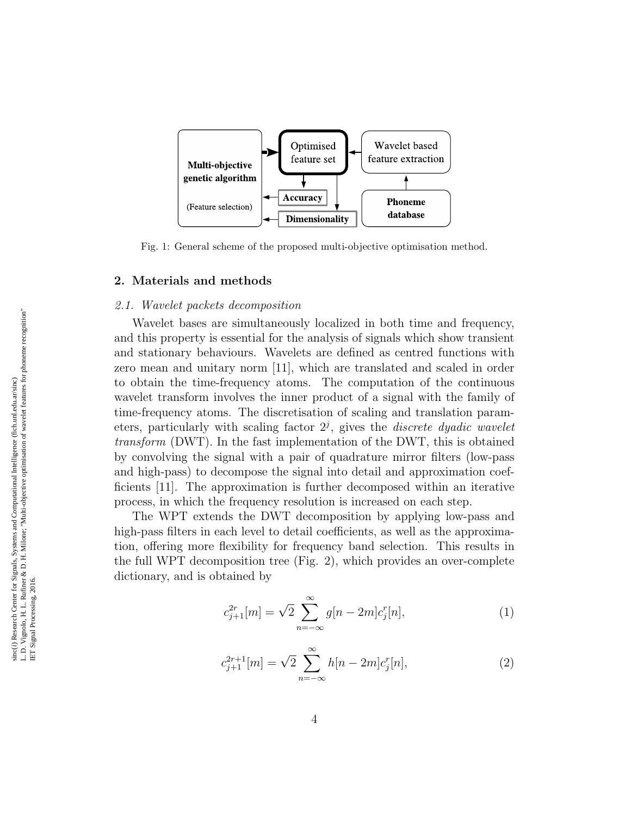

<span id="page-3-0"></span>Fig. 1: General scheme of the proposed multi-objective optimisation method.

# 2. Materials and methods

#### 2.1. Wavelet packets decomposition

Wavelet bases are simultaneously localized in both time and frequency, and this property is essential for the analysis of signals which show transient and stationary behaviours. Wavelets are defined as centred functions with zero mean and unitary norm [\[11\]](#page-19-2), which are translated and scaled in order to obtain the time-frequency atoms. The computation of the continuous wavelet transform involves the inner product of a signal with the family of time-frequency atoms. The discretisation of scaling and translation parameters, particularly with scaling factor  $2<sup>j</sup>$ , gives the *discrete dyadic wavelet* transform (DWT). In the fast implementation of the DWT, this is obtained by convolving the signal with a pair of quadrature mirror filters (low-pass and high-pass) to decompose the signal into detail and approximation coefficients [\[11\]](#page-19-2). The approximation is further decomposed within an iterative process, in which the frequency resolution is increased on each step.

The WPT extends the DWT decomposition by applying low-pass and high-pass filters in each level to detail coefficients, as well as the approximation, offering more flexibility for frequency band selection. This results in the full WPT decomposition tree (Fig. [2\)](#page-4-0), which provides an over-complete dictionary, and is obtained by

$$
c_{j+1}^{2r}[m] = \sqrt{2} \sum_{n=-\infty}^{\infty} g[n-2m]c_j^{r}[n],
$$
\n(1)

$$
c_{j+1}^{2r+1}[m] = \sqrt{2} \sum_{n=-\infty}^{\infty} h[n-2m]c_j[n],\tag{2}
$$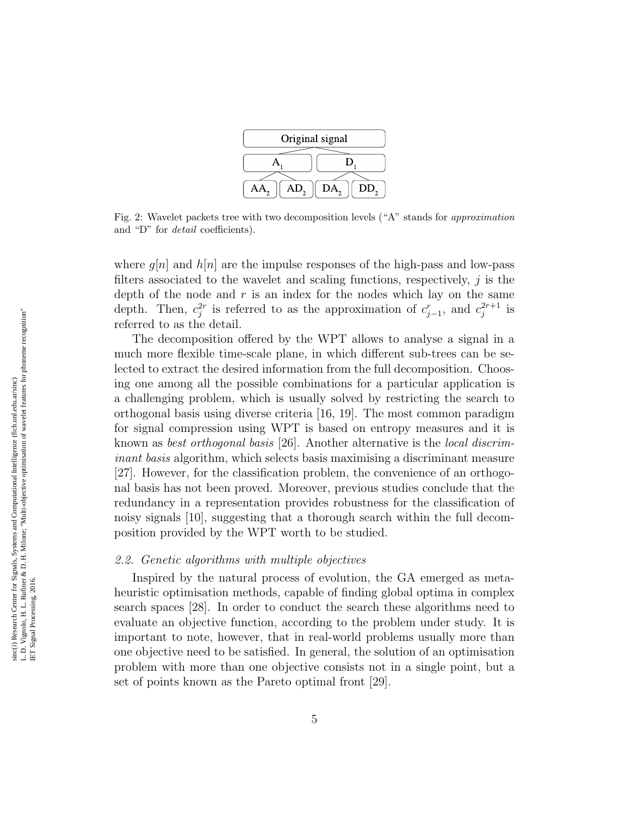

<span id="page-4-0"></span>Fig. 2: Wavelet packets tree with two decomposition levels ("A" stands for approximation and "D" for detail coefficients).

where  $g[n]$  and  $h[n]$  are the impulse responses of the high-pass and low-pass filters associated to the wavelet and scaling functions, respectively,  $\dot{\eta}$  is the depth of the node and  $r$  is an index for the nodes which lay on the same depth. Then,  $c_j^{2r}$  is referred to as the approximation of  $c_{j-1}^r$ , and  $c_j^{2r+1}$  $j^{2r+1}$  is referred to as the detail.

The decomposition offered by the WPT allows to analyse a signal in a much more flexible time-scale plane, in which different sub-trees can be selected to extract the desired information from the full decomposition. Choosing one among all the possible combinations for a particular application is a challenging problem, which is usually solved by restricting the search to orthogonal basis using diverse criteria [\[16,](#page-19-7) [19\]](#page-20-0). The most common paradigm for signal compression using WPT is based on entropy measures and it is known as best orthogonal basis [\[26\]](#page-20-7). Another alternative is the local discriminant basis algorithm, which selects basis maximising a discriminant measure [\[27\]](#page-20-8). However, for the classification problem, the convenience of an orthogonal basis has not been proved. Moreover, previous studies conclude that the redundancy in a representation provides robustness for the classification of noisy signals [\[10\]](#page-19-1), suggesting that a thorough search within the full decomposition provided by the WPT worth to be studied.

#### 2.2. Genetic algorithms with multiple objectives

Inspired by the natural process of evolution, the GA emerged as metaheuristic optimisation methods, capable of finding global optima in complex search spaces [\[28\]](#page-21-0). In order to conduct the search these algorithms need to evaluate an objective function, according to the problem under study. It is important to note, however, that in real-world problems usually more than one objective need to be satisfied. In general, the solution of an optimisation problem with more than one objective consists not in a single point, but a set of points known as the Pareto optimal front [\[29\]](#page-21-1).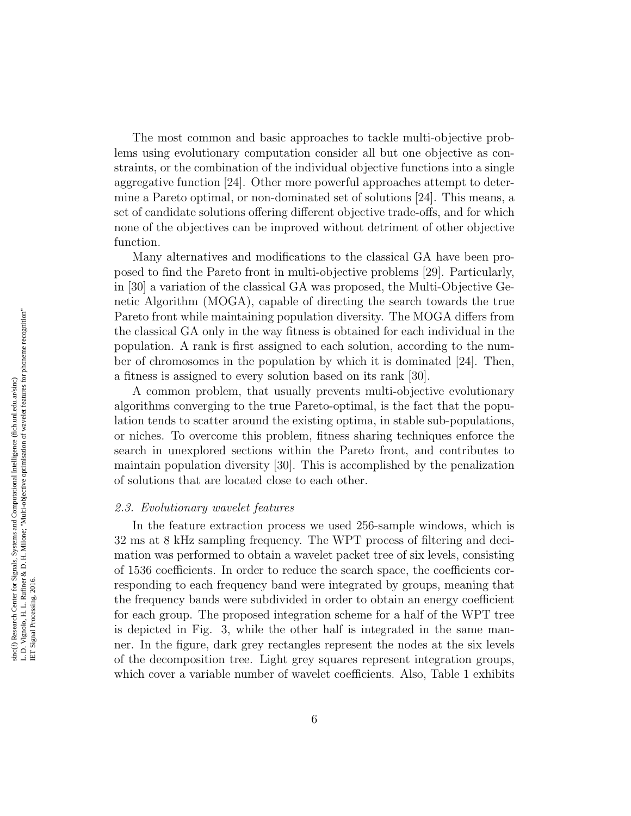The most common and basic approaches to tackle multi-objective problems using evolutionary computation consider all but one objective as constraints, or the combination of the individual objective functions into a single aggregative function [\[24\]](#page-20-5). Other more powerful approaches attempt to determine a Pareto optimal, or non-dominated set of solutions [\[24\]](#page-20-5). This means, a set of candidate solutions offering different objective trade-offs, and for which none of the objectives can be improved without detriment of other objective function.

Many alternatives and modifications to the classical GA have been proposed to find the Pareto front in multi-objective problems [\[29\]](#page-21-1). Particularly, in [\[30\]](#page-21-2) a variation of the classical GA was proposed, the Multi-Objective Genetic Algorithm (MOGA), capable of directing the search towards the true Pareto front while maintaining population diversity. The MOGA differs from the classical GA only in the way fitness is obtained for each individual in the population. A rank is first assigned to each solution, according to the number of chromosomes in the population by which it is dominated [\[24\]](#page-20-5). Then, a fitness is assigned to every solution based on its rank [\[30\]](#page-21-2).

A common problem, that usually prevents multi-objective evolutionary algorithms converging to the true Pareto-optimal, is the fact that the population tends to scatter around the existing optima, in stable sub-populations, or niches. To overcome this problem, fitness sharing techniques enforce the search in unexplored sections within the Pareto front, and contributes to maintain population diversity [\[30\]](#page-21-2). This is accomplished by the penalization of solutions that are located close to each other.

#### 2.3. Evolutionary wavelet features

In the feature extraction process we used 256-sample windows, which is 32 ms at 8 kHz sampling frequency. The WPT process of filtering and decimation was performed to obtain a wavelet packet tree of six levels, consisting of 1536 coefficients. In order to reduce the search space, the coefficients corresponding to each frequency band were integrated by groups, meaning that the frequency bands were subdivided in order to obtain an energy coefficient for each group. The proposed integration scheme for a half of the WPT tree is depicted in Fig. [3,](#page-6-0) while the other half is integrated in the same manner. In the figure, dark grey rectangles represent the nodes at the six levels of the decomposition tree. Light grey squares represent integration groups, which cover a variable number of wavelet coefficients. Also, Table [1](#page-6-1) exhibits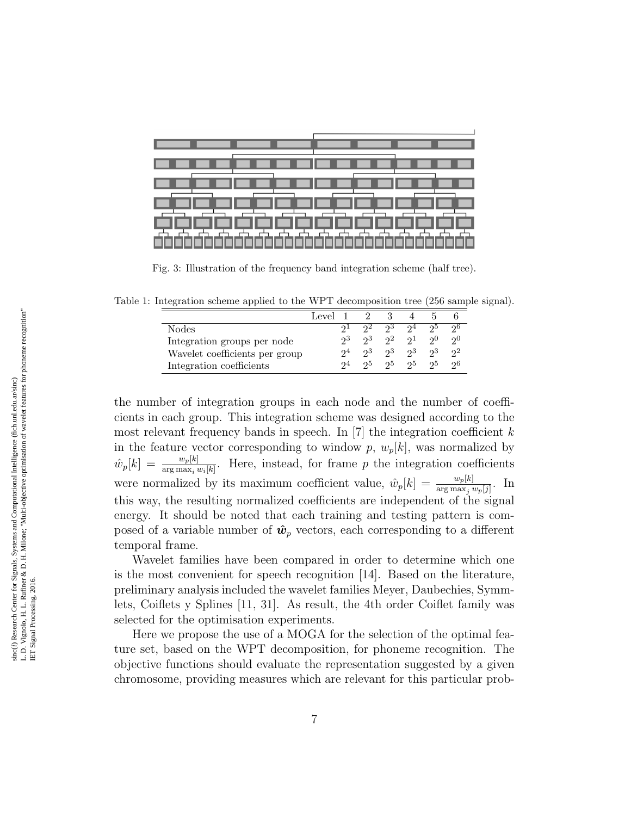

<span id="page-6-0"></span>Fig. 3: Illustration of the frequency band integration scheme (half tree).

Table 1: Integration scheme applied to the WPT decomposition tree (256 sample signal).

<span id="page-6-1"></span>

|                                | Level 1 2 |       |       |             |              |             |
|--------------------------------|-----------|-------|-------|-------------|--------------|-------------|
| Nodes                          |           |       | -93-  | -94         | 95.          | -96         |
| Integration groups per node    | 93        | 93    |       | $2^2$ $2^1$ | $20^{\circ}$ | 20          |
| Wavelet coefficients per group |           | 93.   | $2^3$ | -93         | 93           | $2^{\circ}$ |
| Integration coefficients       | $2^4$     | $2^5$ | $2^5$ | -95         | 95           | -96         |

the number of integration groups in each node and the number of coefficients in each group. This integration scheme was designed according to the most relevant frequency bands in speech. In [\[7\]](#page-18-6) the integration coefficient  $k$ in the feature vector corresponding to window  $p, w_p[k]$ , was normalized by  $\hat{w}_p[k] = \frac{w_p[k]}{\arg \max_i w_i[k]}$ . Here, instead, for frame p the integration coefficients were normalized by its maximum coefficient value,  $\hat{w}_p[k] = \frac{w_p[k]}{\arg \max_j w_p[j]}$ . In this way, the resulting normalized coefficients are independent of the signal energy. It should be noted that each training and testing pattern is composed of a variable number of  $\hat{w}_p$  vectors, each corresponding to a different temporal frame.

Wavelet families have been compared in order to determine which one is the most convenient for speech recognition [\[14\]](#page-19-5). Based on the literature, preliminary analysis included the wavelet families Meyer, Daubechies, Symmlets, Coiflets y Splines [\[11,](#page-19-2) [31\]](#page-21-3). As result, the 4th order Coiflet family was selected for the optimisation experiments.

Here we propose the use of a MOGA for the selection of the optimal feature set, based on the WPT decomposition, for phoneme recognition. The objective functions should evaluate the representation suggested by a given chromosome, providing measures which are relevant for this particular prob-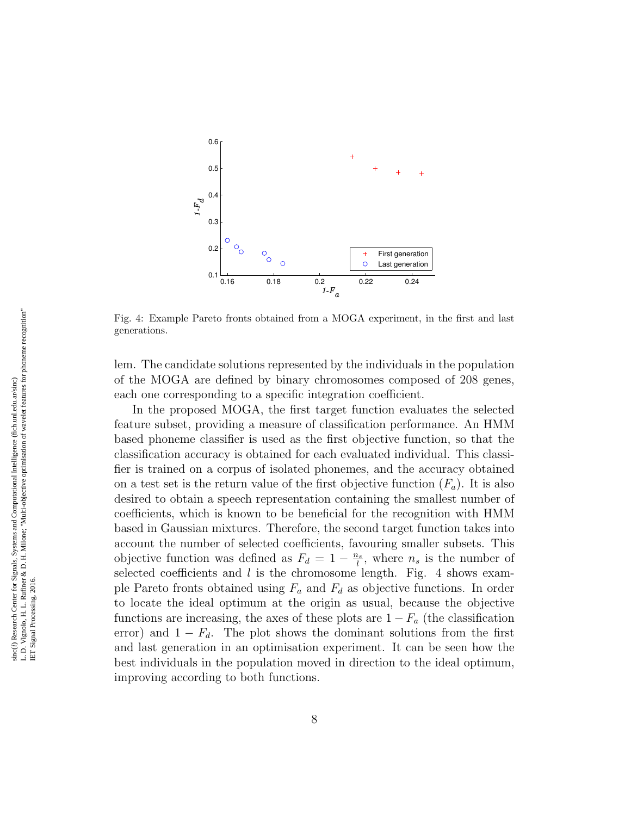

<span id="page-7-0"></span>Fig. 4: Example Pareto fronts obtained from a MOGA experiment, in the first and last generations.

lem. The candidate solutions represented by the individuals in the population of the MOGA are defined by binary chromosomes composed of 208 genes, each one corresponding to a specific integration coefficient.

In the proposed MOGA, the first target function evaluates the selected feature subset, providing a measure of classification performance. An HMM based phoneme classifier is used as the first objective function, so that the classification accuracy is obtained for each evaluated individual. This classifier is trained on a corpus of isolated phonemes, and the accuracy obtained on a test set is the return value of the first objective function  $(F_a)$ . It is also desired to obtain a speech representation containing the smallest number of coefficients, which is known to be beneficial for the recognition with HMM based in Gaussian mixtures. Therefore, the second target function takes into account the number of selected coefficients, favouring smaller subsets. This objective function was defined as  $F_d = 1 - \frac{n_s}{l}$  $\frac{\partial s}{\partial t}$ , where  $n_s$  is the number of selected coefficients and  $l$  is the chromosome length. Fig. [4](#page-7-0) shows example Pareto fronts obtained using  $F_a$  and  $F_d$  as objective functions. In order to locate the ideal optimum at the origin as usual, because the objective functions are increasing, the axes of these plots are  $1 - F_a$  (the classification error) and  $1 - F_d$ . The plot shows the dominant solutions from the first and last generation in an optimisation experiment. It can be seen how the best individuals in the population moved in direction to the ideal optimum, improving according to both functions.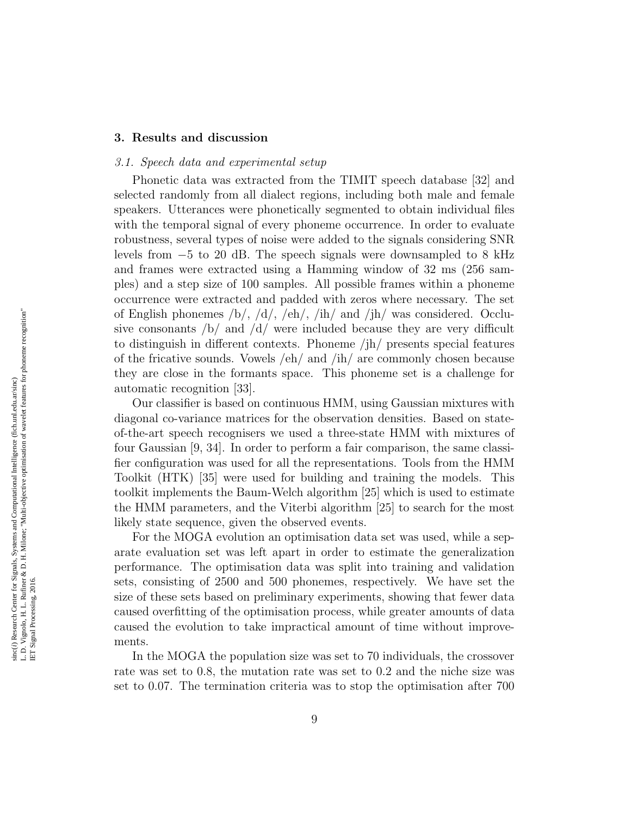## 3. Results and discussion

#### 3.1. Speech data and experimental setup

Phonetic data was extracted from the TIMIT speech database [\[32\]](#page-21-4) and selected randomly from all dialect regions, including both male and female speakers. Utterances were phonetically segmented to obtain individual files with the temporal signal of every phoneme occurrence. In order to evaluate robustness, several types of noise were added to the signals considering SNR levels from −5 to 20 dB. The speech signals were downsampled to 8 kHz and frames were extracted using a Hamming window of 32 ms (256 samples) and a step size of 100 samples. All possible frames within a phoneme occurrence were extracted and padded with zeros where necessary. The set of English phonemes  $/b/$ ,  $/d/$ ,  $/eh/$ ,  $/ih/$  and  $/jh/$  was considered. Occlusive consonants  $\frac{1}{b}$  and  $\frac{d}{d}$  were included because they are very difficult to distinguish in different contexts. Phoneme /jh/ presents special features of the fricative sounds. Vowels /eh/ and /ih/ are commonly chosen because they are close in the formants space. This phoneme set is a challenge for automatic recognition [\[33\]](#page-21-5).

Our classifier is based on continuous HMM, using Gaussian mixtures with diagonal co-variance matrices for the observation densities. Based on stateof-the-art speech recognisers we used a three-state HMM with mixtures of four Gaussian [\[9,](#page-19-0) [34\]](#page-21-6). In order to perform a fair comparison, the same classifier configuration was used for all the representations. Tools from the HMM Toolkit (HTK) [\[35\]](#page-21-7) were used for building and training the models. This toolkit implements the Baum-Welch algorithm [\[25\]](#page-20-6) which is used to estimate the HMM parameters, and the Viterbi algorithm [\[25\]](#page-20-6) to search for the most likely state sequence, given the observed events.

For the MOGA evolution an optimisation data set was used, while a separate evaluation set was left apart in order to estimate the generalization performance. The optimisation data was split into training and validation sets, consisting of 2500 and 500 phonemes, respectively. We have set the size of these sets based on preliminary experiments, showing that fewer data caused overfitting of the optimisation process, while greater amounts of data caused the evolution to take impractical amount of time without improvements.

In the MOGA the population size was set to 70 individuals, the crossover rate was set to 0.8, the mutation rate was set to 0.2 and the niche size was set to 0.07. The termination criteria was to stop the optimisation after 700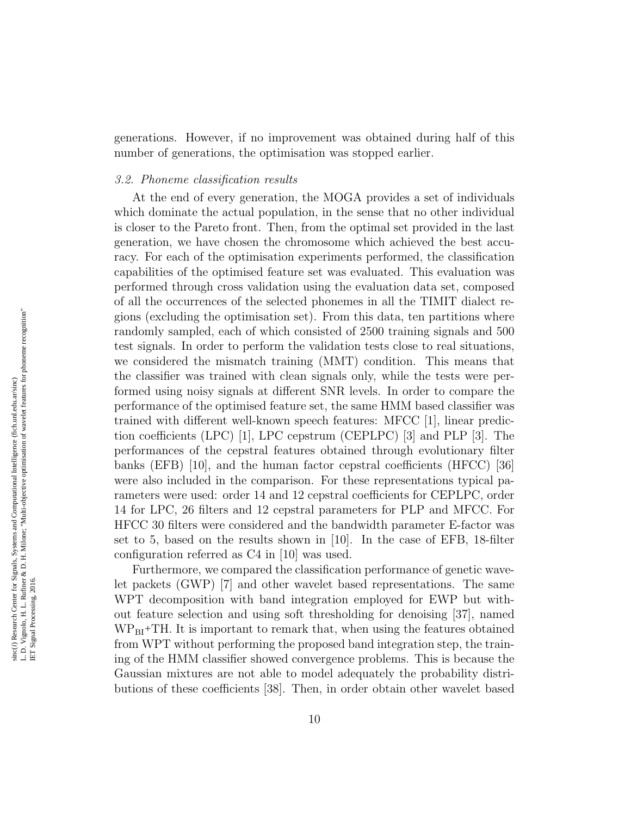generations. However, if no improvement was obtained during half of this number of generations, the optimisation was stopped earlier.

#### 3.2. Phoneme classification results

At the end of every generation, the MOGA provides a set of individuals which dominate the actual population, in the sense that no other individual is closer to the Pareto front. Then, from the optimal set provided in the last generation, we have chosen the chromosome which achieved the best accuracy. For each of the optimisation experiments performed, the classification capabilities of the optimised feature set was evaluated. This evaluation was performed through cross validation using the evaluation data set, composed of all the occurrences of the selected phonemes in all the TIMIT dialect regions (excluding the optimisation set). From this data, ten partitions where randomly sampled, each of which consisted of 2500 training signals and 500 test signals. In order to perform the validation tests close to real situations, we considered the mismatch training (MMT) condition. This means that the classifier was trained with clean signals only, while the tests were performed using noisy signals at different SNR levels. In order to compare the performance of the optimised feature set, the same HMM based classifier was trained with different well-known speech features: MFCC [\[1\]](#page-18-0), linear prediction coefficients (LPC) [\[1\]](#page-18-0), LPC cepstrum (CEPLPC) [\[3\]](#page-18-2) and PLP [\[3\]](#page-18-2). The performances of the cepstral features obtained through evolutionary filter banks (EFB) [\[10\]](#page-19-1), and the human factor cepstral coefficients (HFCC) [\[36\]](#page-21-8) were also included in the comparison. For these representations typical parameters were used: order 14 and 12 cepstral coefficients for CEPLPC, order 14 for LPC, 26 filters and 12 cepstral parameters for PLP and MFCC. For HFCC 30 filters were considered and the bandwidth parameter E-factor was set to 5, based on the results shown in [\[10\]](#page-19-1). In the case of EFB, 18-filter configuration referred as C4 in [\[10\]](#page-19-1) was used.

Furthermore, we compared the classification performance of genetic wavelet packets (GWP) [\[7\]](#page-18-6) and other wavelet based representations. The same WPT decomposition with band integration employed for EWP but without feature selection and using soft thresholding for denoising [\[37\]](#page-22-0), named  $WP_{BI}$ +TH. It is important to remark that, when using the features obtained from WPT without performing the proposed band integration step, the training of the HMM classifier showed convergence problems. This is because the Gaussian mixtures are not able to model adequately the probability distributions of these coefficients [\[38\]](#page-22-1). Then, in order obtain other wavelet based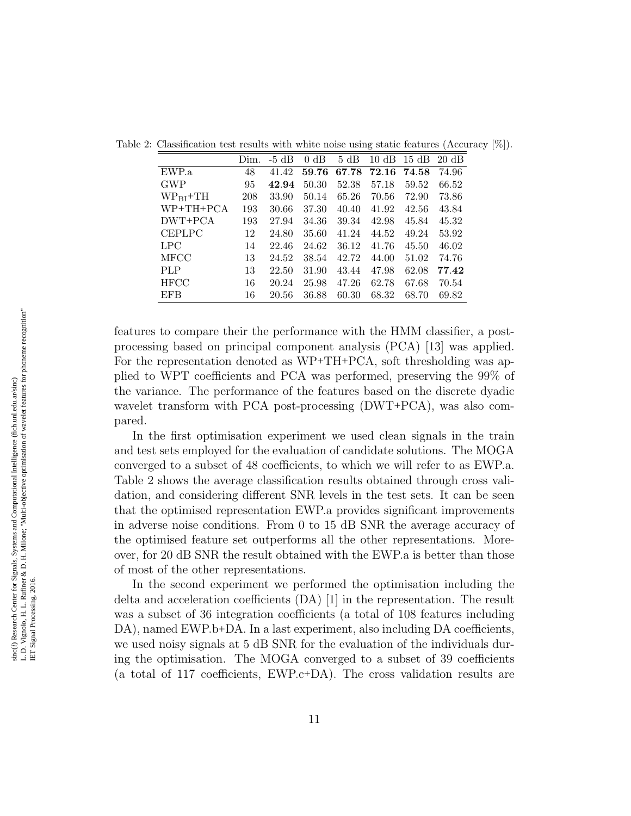<span id="page-10-0"></span>

|               | Dim. | $-5$ dB | dB<br>$\Omega$ | 5 dB  | $10 \text{ dB}$ | 15 dB | $20 \text{ dB}$ |
|---------------|------|---------|----------------|-------|-----------------|-------|-----------------|
| EWP.a         | 48   | 41.42   | 59.76          | 67.78 | 72.16           | 74.58 | 74.96           |
| <b>GWP</b>    | 95   | 42.94   | 50.30          | 52.38 | 57.18           | 59.52 | 66.52           |
| $WP_{BI}$ +TH | 208  | 33.90   | 50.14          | 65.26 | 70.56           | 72.90 | 73.86           |
| WP+TH+PCA     | 193  | 30.66   | 37.30          | 40.40 | 41.92           | 42.56 | 43.84           |
| DWT+PCA       | 193  | 27.94   | 34.36          | 39.34 | 42.98           | 45.84 | 45.32           |
| <b>CEPLPC</b> | 12   | 24.80   | 35.60          | 41.24 | 44.52           | 49.24 | 53.92           |
| LPC           | 14   | 22.46   | 24.62          | 36.12 | 41.76           | 45.50 | 46.02           |
| <b>MFCC</b>   | 13   | 24.52   | 38.54          | 42.72 | 44.00           | 51.02 | 74.76           |
| <b>PLP</b>    | 13   | 22.50   | 31.90          | 43.44 | 47.98           | 62.08 | 77.42           |
| <b>HFCC</b>   | 16   | 20.24   | 25.98          | 47.26 | 62.78           | 67.68 | 70.54           |
| <b>EFB</b>    | 16   | 20.56   | 36.88          | 60.30 | 68.32           | 68.70 | 69.82           |

Table 2: Classification test results with white noise using static features (Accuracy [%]).

features to compare their the performance with the HMM classifier, a postprocessing based on principal component analysis (PCA) [\[13\]](#page-19-4) was applied. For the representation denoted as WP+TH+PCA, soft thresholding was applied to WPT coefficients and PCA was performed, preserving the 99% of the variance. The performance of the features based on the discrete dyadic wavelet transform with PCA post-processing (DWT+PCA), was also compared.

In the first optimisation experiment we used clean signals in the train and test sets employed for the evaluation of candidate solutions. The MOGA converged to a subset of 48 coefficients, to which we will refer to as EWP.a. Table [2](#page-10-0) shows the average classification results obtained through cross validation, and considering different SNR levels in the test sets. It can be seen that the optimised representation EWP.a provides significant improvements in adverse noise conditions. From 0 to 15 dB SNR the average accuracy of the optimised feature set outperforms all the other representations. Moreover, for 20 dB SNR the result obtained with the EWP.a is better than those of most of the other representations.

In the second experiment we performed the optimisation including the delta and acceleration coefficients (DA) [\[1\]](#page-18-0) in the representation. The result was a subset of 36 integration coefficients (a total of 108 features including DA), named EWP.b+DA. In a last experiment, also including DA coefficients, we used noisy signals at 5 dB SNR for the evaluation of the individuals during the optimisation. The MOGA converged to a subset of 39 coefficients (a total of 117 coefficients, EWP.c+DA). The cross validation results are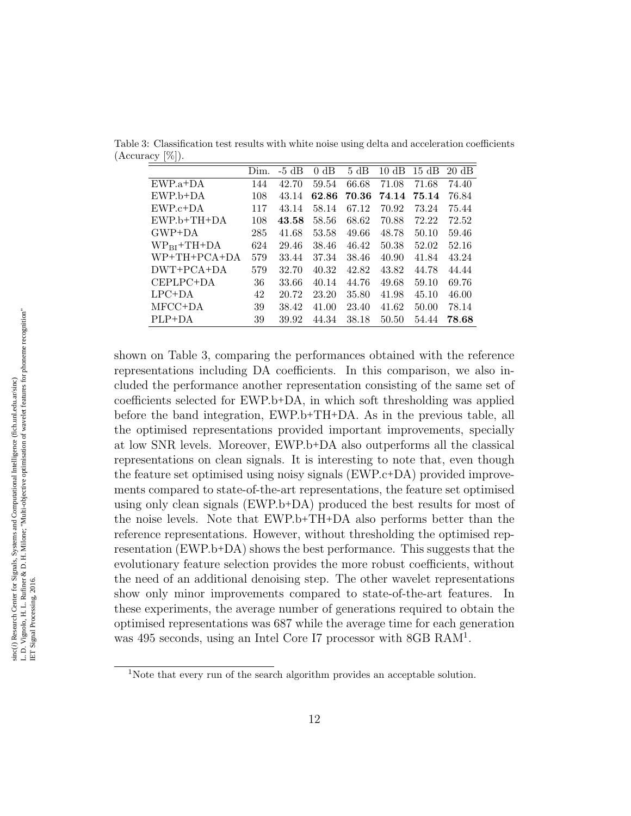<span id="page-11-0"></span>

|                  | Dim. | $-5$ dB | dB<br>$\Omega$ | 5 dB  | dB<br>10 | 15 dB | $20 \text{ dB}$ |
|------------------|------|---------|----------------|-------|----------|-------|-----------------|
| $EWP.a+DA$       | 144  | 42.70   | 59.54          | 66.68 | 71.08    | 71.68 | 74.40           |
| $EWP.b+DA$       | 108  | 43.14   | 62.86          | 70.36 | 74.14    | 75.14 | 76.84           |
| $EWP.c+DA$       | 117  | 43.14   | 58.14          | 67.12 | 70.92    | 73.24 | 75.44           |
| $EWP.b+TH+DA$    | 108  | 43.58   | 58.56          | 68.62 | 70.88    | 72.22 | 72.52           |
| $GWP+DA$         | 285  | 41.68   | 53.58          | 49.66 | 48.78    | 50.10 | 59.46           |
| $WP_{BI}$ +TH+DA | 624  | 29.46   | 38.46          | 46.42 | 50.38    | 52.02 | 52.16           |
| $WP+TH+PCA+DA$   | 579  | 33.44   | 37.34          | 38.46 | 40.90    | 41.84 | 43.24           |
| $DWT+PCA+DA$     | 579  | 32.70   | 40.32          | 42.82 | 43.82    | 44.78 | 44.44           |
| CEPLPC+DA        | 36   | 33.66   | 40.14          | 44.76 | 49.68    | 59.10 | 69.76           |
| $LPC+DA$         | 42   | 20.72   | 23.20          | 35.80 | 41.98    | 45.10 | 46.00           |
| MFCC+DA          | 39   | 38.42   | 41.00          | 23.40 | 41.62    | 50.00 | 78.14           |
| $PLP+DA$         | 39   | 39.92   | 44.34          | 38.18 | 50.50    | 54.44 | 78.68           |

Table 3: Classification test results with white noise using delta and acceleration coefficients (Accuracy [%]).

shown on Table [3,](#page-11-0) comparing the performances obtained with the reference representations including DA coefficients. In this comparison, we also included the performance another representation consisting of the same set of coefficients selected for EWP.b+DA, in which soft thresholding was applied before the band integration, EWP.b+TH+DA. As in the previous table, all the optimised representations provided important improvements, specially at low SNR levels. Moreover, EWP.b+DA also outperforms all the classical representations on clean signals. It is interesting to note that, even though the feature set optimised using noisy signals (EWP.c+DA) provided improvements compared to state-of-the-art representations, the feature set optimised using only clean signals (EWP.b+DA) produced the best results for most of the noise levels. Note that EWP.b+TH+DA also performs better than the reference representations. However, without thresholding the optimised representation (EWP.b+DA) shows the best performance. This suggests that the evolutionary feature selection provides the more robust coefficients, without the need of an additional denoising step. The other wavelet representations show only minor improvements compared to state-of-the-art features. In these experiments, the average number of generations required to obtain the optimised representations was 687 while the average time for each generation was 495 seconds, using an Intel Core I7 processor with 8GB RAM<sup>[1](#page-11-1)</sup>.

<span id="page-11-1"></span><sup>&</sup>lt;sup>1</sup>Note that every run of the search algorithm provides an acceptable solution.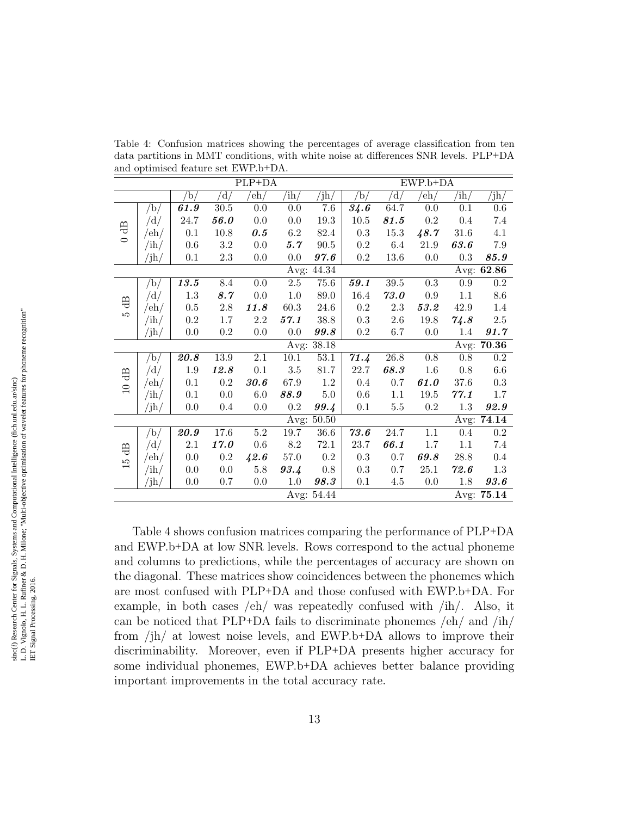<span id="page-12-0"></span>Table 4: Confusion matrices showing the percentages of average classification from ten data partitions in MMT conditions, with white noise at differences SNR levels. PLP+DA and optimised feature set EWP.b+DA.

|                            | $\overline{PLP}$ +DA |                  |                   |                    |                  |                 |                       |                         | $EWP.b+DA$         |                |                   |
|----------------------------|----------------------|------------------|-------------------|--------------------|------------------|-----------------|-----------------------|-------------------------|--------------------|----------------|-------------------|
|                            |                      | $\mathbf{b}_{l}$ | 'd/               | $^{\prime}$ eh $/$ | 'ih/             | $^{\prime}$ jh/ | $\mathrm{^{\prime}b}$ | $\rm \langle d \rangle$ | $^{\prime}$ eh $/$ | $^{\prime}$ ih | $\mathrm{jh}_{/}$ |
|                            | $\bar{b}/$           | 61.9             | $\overline{30.5}$ | $0.0\,$            | $0.0\,$          | 7.6             | 34.6                  | 64.7                    | $0.0\,$            | 0.1            | $0.6\,$           |
|                            | /d/                  | 24.7             | 56.0              | 0.0                | 0.0              | 19.3            | $10.5\,$              | 81.5                    | 0.2                | $0.4\,$        | 7.4               |
| $\overline{AB}$<br>$\circ$ | /eh/                 | 0.1              | 10.8              | 0.5                | 6.2              | 82.4            | $\rm 0.3$             | $15.3\,$                | 48.7               | 31.6           | 4.1               |
|                            | $/\mathrm{ih}/$      | 0.6              | $3.2\,$           | 0.0                | 5.7              | $90.5\,$        | 0.2                   | 6.4                     | 21.9               | 63.6           | 7.9               |
|                            | $/\mathrm{jh}/$      | 0.1              | $2.3\,$           | 0.0                | 0.0              | 97.6            | $\rm 0.2$             | 13.6                    | $0.0\,$            | 0.3            | 85.9              |
|                            |                      |                  |                   |                    | Avg:             | 44.34           |                       |                         |                    | Avg:           | 62.86             |
|                            | /b/                  | 13.5             | 8.4               | $0.0\,$            | $\overline{2.5}$ | 75.6            | $\overline{59.1}$     | $39.5\,$                | $\overline{0.3}$   | $\rm 0.9$      | $\overline{0.2}$  |
|                            | /d/                  | 1.3              | 8.7               | 0.0                | 1.0              | 89.0            | 16.4                  | 73.0                    | 0.9                | 1.1            | $8.6\,$           |
| $\overline{a}$<br>LΩ       | /eh/                 | $0.5\,$          | $2.8\,$           | 11.8               | 60.3             | 24.6            | $\rm 0.2$             | 2.3                     | 53.2               | 42.9           | 1.4               |
|                            | $/\mathrm{ih}/$      | $0.2\,$          | 1.7               | $2.2\,$            | 57.1             | 38.8            | 0.3                   | 2.6                     | $19.8\,$           | 74.8           | $2.5\,$           |
|                            | $/\mathrm{jh}/$      | 0.0              | 0.2               | 0.0                | 0.0              | $\it 99.8$      | $0.2\,$               | 6.7                     | 0.0                | 1.4            | 91.7              |
|                            |                      |                  |                   |                    | Avg:             | 38.18           |                       |                         |                    | Avg:           | 70.36             |
|                            | /b/                  | 20.8             | 13.9              | $2.1\,$            | 10.1             | 53.1            | 71.4                  | $26.8\,$                | $0.8\,$            | 0.8            | 0.2               |
| €                          | /d/                  | 1.9              | 12.8              | 0.1                | $3.5\,$          | 81.7            | 22.7                  | 68.3                    | 1.6                | 0.8            | $6.6\,$           |
| $\overline{10}$            | /eh/                 | 0.1              | 0.2               | 30.6               | 67.9             | 1.2             | 0.4                   | 0.7                     | 61.0               | 37.6           | 0.3               |
|                            | $/\mathrm{ih}/$      | 0.1              | 0.0               | 6.0                | 88.9             | $5.0\,$         | 0.6                   | 1.1                     | 19.5               | 77.1           | 1.7               |
|                            | $/\mathrm{jh}/$      | 0.0              | $0.4\,$           | 0.0                | $\rm 0.2$        | 99.4            | 0.1                   | $5.5\,$                 | $\rm 0.2$          | 1.3            | 92.9              |
|                            |                      |                  |                   |                    | Avg:             | $50.50\,$       |                       |                         |                    | Avg:           | 74.14             |
|                            | /b/                  | 20.9             | 17.6              | $\overline{5.2}$   | 19.7             | 36.6            | 73.6                  | 24.7                    | $\overline{1.1}$   | 0.4            | $\overline{0.2}$  |
| ∉                          | /d/                  | 2.1              | 17.0              | 0.6                | 8.2              | $72.1\,$        | 23.7                  | 66.1                    | 1.7                | 1.1            | 7.4               |
| $\overline{15}$            | /eh/                 | 0.0              | 0.2               | 42.6               | 57.0             | 0.2             | 0.3                   | 0.7                     | 69.8               | 28.8           | 0.4               |
|                            | $/\mathrm{ih}/$      | 0.0              | 0.0               | 5.8                | 93.4             | 0.8             | 0.3                   | 0.7                     | 25.1               | 72.6           | 1.3               |
|                            | $/\mathrm{jh}/$      | 0.0              | 0.7               | 0.0                | $1.0\,$          | 98.3            | 0.1                   | 4.5                     | 0.0                | $1.8\,$        | 93.6              |
| Avg: 54.44                 |                      |                  |                   |                    |                  |                 |                       |                         |                    |                | Avg: $75.14$      |

Table [4](#page-12-0) shows confusion matrices comparing the performance of PLP+DA and EWP.b+DA at low SNR levels. Rows correspond to the actual phoneme and columns to predictions, while the percentages of accuracy are shown on the diagonal. These matrices show coincidences between the phonemes which are most confused with PLP+DA and those confused with EWP.b+DA. For example, in both cases /eh/ was repeatedly confused with /ih/. Also, it can be noticed that PLP+DA fails to discriminate phonemes  $\int e h / \text{ and } \int i h / \text{ }$ from /jh/ at lowest noise levels, and EWP.b+DA allows to improve their discriminability. Moreover, even if PLP+DA presents higher accuracy for some individual phonemes, EWP.b+DA achieves better balance providing important improvements in the total accuracy rate.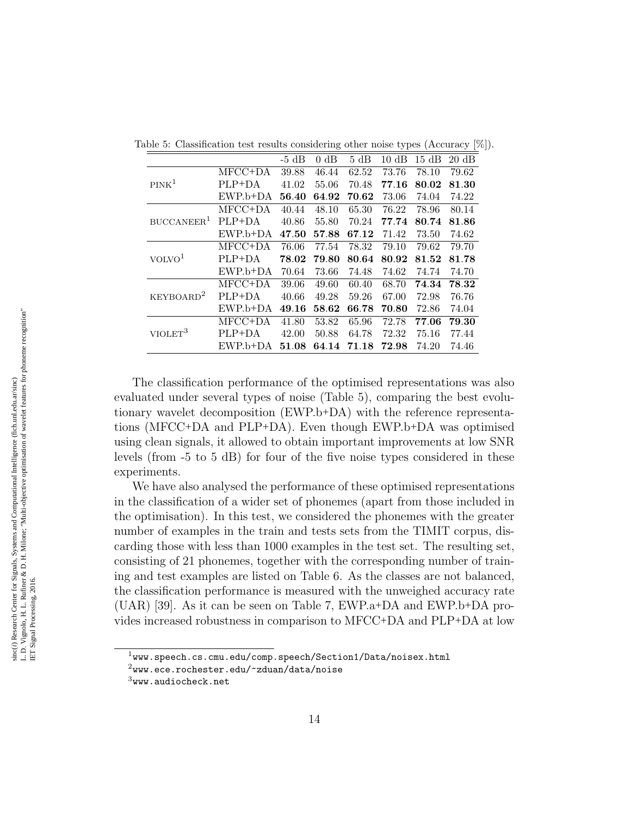<span id="page-13-0"></span>

|                        |            | $-5$ dB | $0 \text{ dB}$ | 5 dB  | dB<br>10    | $15~\mathrm{dB}$ | $20 \text{ dB}$ |
|------------------------|------------|---------|----------------|-------|-------------|------------------|-----------------|
|                        | MFCC+DA    | 39.88   | 46.44          | 62.52 | 73.76       | 78.10            | 79.62           |
| PINK <sup>1</sup>      | PLP+DA     | 41.02   | 55.06          | 70.48 | $\bf 77.16$ | 80.02            | 81.30           |
|                        | $EWP.b+DA$ | 56.40   | 64.92          | 70.62 | 73.06       | 74.04            | 74.22           |
|                        | MFCC+DA    | 40.44   | 48.10          | 65.30 | 76.22       | 78.96            | 80.14           |
| BUCCANEER <sup>1</sup> | $PLP+DA$   | 40.86   | 55.80          | 70.24 | 77.74       | 80.74            | 81.86           |
|                        | $EWP.b+DA$ | 47.50   | 57.88          | 67.12 | 71.42       | 73.50            | 74.62           |
|                        | MFCC+DA    | 76.06   | 77.54          | 78.32 | 79.10       | 79.62            | 79.70           |
| VOLVO <sup>1</sup>     | $PLP+DA$   | 78.02   | 79.80          | 80.64 | 80.92       | 81.52            | 81.78           |
|                        | EWP.b+DA   | 70.64   | 73.66          | 74.48 | 74.62       | 74.74            | 74.70           |
|                        | MFCC+DA    | 39.06   | 49.60          | 60.40 | 68.70       | 74.34            | 78.32           |
| KEYBOARD <sup>2</sup>  | PLP+DA     | 40.66   | 49.28          | 59.26 | 67.00       | 72.98            | 76.76           |
|                        | $EWP.b+DA$ | 49.16   | 58.62          | 66.78 | 70.80       | 72.86            | 74.04           |
|                        | MFCC+DA    | 41.80   | 53.82          | 65.96 | 72.78       | 77.06            | 79.30           |
| VIOLET <sup>3</sup>    | $PLP+DA$   | 42.00   | 50.88          | 64.78 | 72.32       | 75.16            | 77.44           |
|                        | EWP.b+DA   | 51.08   | 64.14          | 71.18 | 72.98       | 74.20            | 74.46           |

Table 5: Classification test results considering other noise types (Accuracy [%]).

The classification performance of the optimised representations was also evaluated under several types of noise (Table [5\)](#page-13-0), comparing the best evolutionary wavelet decomposition (EWP.b+DA) with the reference representations (MFCC+DA and PLP+DA). Even though EWP.b+DA was optimised using clean signals, it allowed to obtain important improvements at low SNR levels (from -5 to 5 dB) for four of the five noise types considered in these experiments.

We have also analysed the performance of these optimised representations in the classification of a wider set of phonemes (apart from those included in the optimisation). In this test, we considered the phonemes with the greater number of examples in the train and tests sets from the TIMIT corpus, discarding those with less than 1000 examples in the test set. The resulting set, consisting of 21 phonemes, together with the corresponding number of training and test examples are listed on Table [6.](#page-14-0) As the classes are not balanced, the classification performance is measured with the unweighed accuracy rate (UAR) [\[39\]](#page-22-2). As it can be seen on Table [7,](#page-14-1) EWP.a+DA and EWP.b+DA provides increased robustness in comparison to MFCC+DA and PLP+DA at low

 $1$ <www.speech.cs.cmu.edu/comp.speech/Section1/Data/noisex.html>

 $^{2}$ <www.ece.rochester.edu/~zduan/data/noise>

 $3$ <www.audiocheck.net>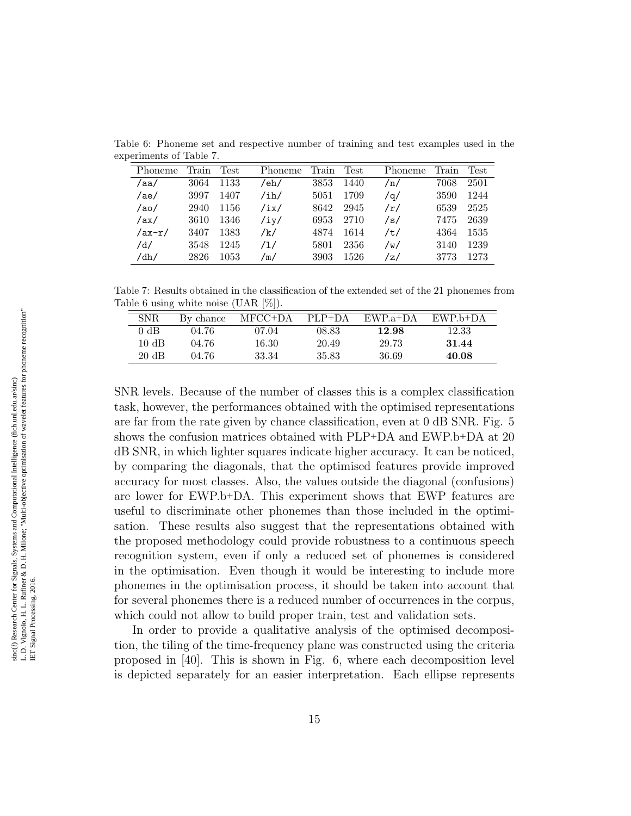<span id="page-14-0"></span>

| Phoneme  | Train | Test | Phoneme                       | Train | Test | Phoneme | Train | <b>Test</b> |
|----------|-------|------|-------------------------------|-------|------|---------|-------|-------------|
| /aa/     | 3064  | 1133 | /eh/                          | 3853  | 1440 | /n/     | 7068  | 2501        |
| /ae/     | 3997  | 1407 | $/\mathrm{i} \, \mathrm{h}$ / | 5051  | 1709 | /a/     | 3590  | 1244        |
| /ao/     | 2940  | 1156 | /ix/                          | 8642  | 2945 | /r/     | 6539  | 2525        |
| /ax/     | 3610  | 1346 | /iy/                          | 6953  | 2710 | /s/     | 7475  | 2639        |
| $/ax-r/$ | 3407  | 1383 | /k/                           | 4874  | 1614 | /t/     | 4364  | 1535        |
| /d/      | 3548  | 1245 | /1/                           | 5801  | 2356 | /w/     | 3140  | 1239        |
| /dh/     | 2826  | 1053 | /m/                           | 3903  | 1526 | /z/     | 3773  | 1273        |

Table 6: Phoneme set and respective number of training and test examples used in the experiments of Table [7.](#page-14-1)

Table 7: Results obtained in the classification of the extended set of the 21 phonemes from Table [6](#page-14-0) using white noise (UAR [%]).

<span id="page-14-1"></span>

| <b>SNR</b>      | By chance | MFCC+DA | $PLP+DA$ | EWP.a+DA | EWP.b+DA |  |
|-----------------|-----------|---------|----------|----------|----------|--|
| 0 dB            | 04.76     | 07.04   | 08.83    | 12.98    | 12.33    |  |
| $10 \text{ dB}$ | 04.76     | 16.30   | 20.49    | 29.73    | 31.44    |  |
| $20 \text{ dB}$ | 04.76     | 33.34   | 35.83    | 36.69    | 40.08    |  |
|                 |           |         |          |          |          |  |

SNR levels. Because of the number of classes this is a complex classification task, however, the performances obtained with the optimised representations are far from the rate given by chance classification, even at 0 dB SNR. Fig. [5](#page-15-0) shows the confusion matrices obtained with PLP+DA and EWP.b+DA at 20 dB SNR, in which lighter squares indicate higher accuracy. It can be noticed, by comparing the diagonals, that the optimised features provide improved accuracy for most classes. Also, the values outside the diagonal (confusions) are lower for EWP.b+DA. This experiment shows that EWP features are useful to discriminate other phonemes than those included in the optimisation. These results also suggest that the representations obtained with the proposed methodology could provide robustness to a continuous speech recognition system, even if only a reduced set of phonemes is considered in the optimisation. Even though it would be interesting to include more phonemes in the optimisation process, it should be taken into account that for several phonemes there is a reduced number of occurrences in the corpus, which could not allow to build proper train, test and validation sets.

In order to provide a qualitative analysis of the optimised decomposition, the tiling of the time-frequency plane was constructed using the criteria proposed in [\[40\]](#page-22-3). This is shown in Fig. [6,](#page-16-0) where each decomposition level is depicted separately for an easier interpretation. Each ellipse represents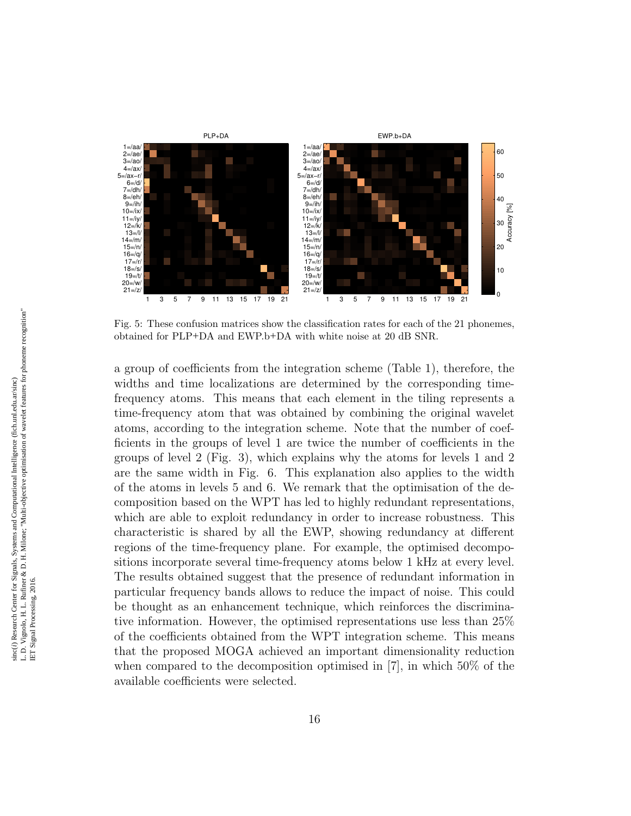

<span id="page-15-0"></span>Fig. 5: These confusion matrices show the classification rates for each of the 21 phonemes, obtained for PLP+DA and EWP.b+DA with white noise at 20 dB SNR.

a group of coefficients from the integration scheme (Table [1\)](#page-6-1), therefore, the widths and time localizations are determined by the corresponding timefrequency atoms. This means that each element in the tiling represents a time-frequency atom that was obtained by combining the original wavelet atoms, according to the integration scheme. Note that the number of coefficients in the groups of level 1 are twice the number of coefficients in the groups of level 2 (Fig. [3\)](#page-6-0), which explains why the atoms for levels 1 and 2 are the same width in Fig. [6.](#page-16-0) This explanation also applies to the width of the atoms in levels 5 and 6. We remark that the optimisation of the decomposition based on the WPT has led to highly redundant representations, which are able to exploit redundancy in order to increase robustness. This characteristic is shared by all the EWP, showing redundancy at different regions of the time-frequency plane. For example, the optimised decompositions incorporate several time-frequency atoms below 1 kHz at every level. The results obtained suggest that the presence of redundant information in particular frequency bands allows to reduce the impact of noise. This could be thought as an enhancement technique, which reinforces the discriminative information. However, the optimised representations use less than 25% of the coefficients obtained from the WPT integration scheme. This means that the proposed MOGA achieved an important dimensionality reduction when compared to the decomposition optimised in [\[7\]](#page-18-6), in which 50% of the available coefficients were selected.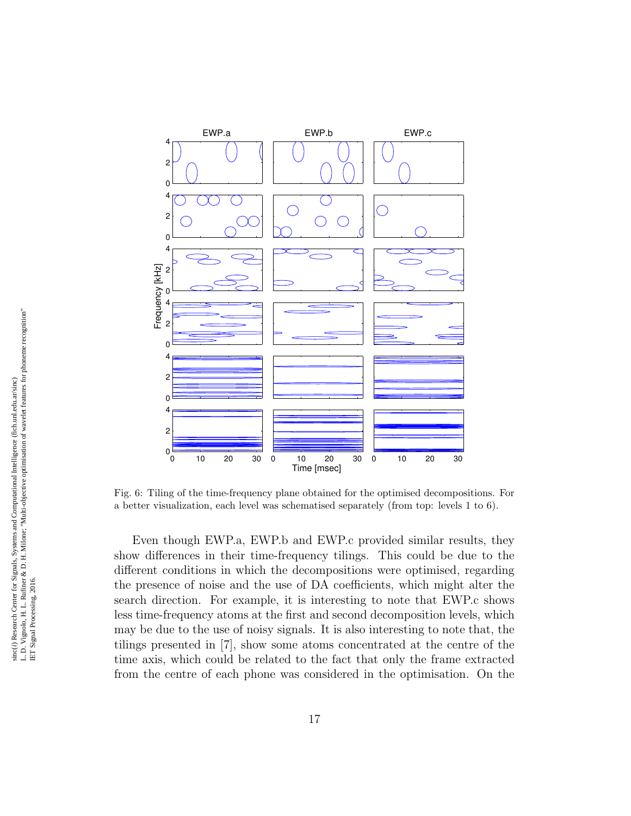

<span id="page-16-0"></span>Fig. 6: Tiling of the time-frequency plane obtained for the optimised decompositions. For a better visualization, each level was schematised separately (from top: levels 1 to 6).

Even though EWP.a, EWP.b and EWP.c provided similar results, they show differences in their time-frequency tilings. This could be due to the different conditions in which the decompositions were optimised, regarding the presence of noise and the use of DA coefficients, which might alter the search direction. For example, it is interesting to note that EWP.c shows less time-frequency atoms at the first and second decomposition levels, which may be due to the use of noisy signals. It is also interesting to note that, the tilings presented in [\[7\]](#page-18-6), show some atoms concentrated at the centre of the time axis, which could be related to the fact that only the frame extracted from the centre of each phone was considered in the optimisation. On the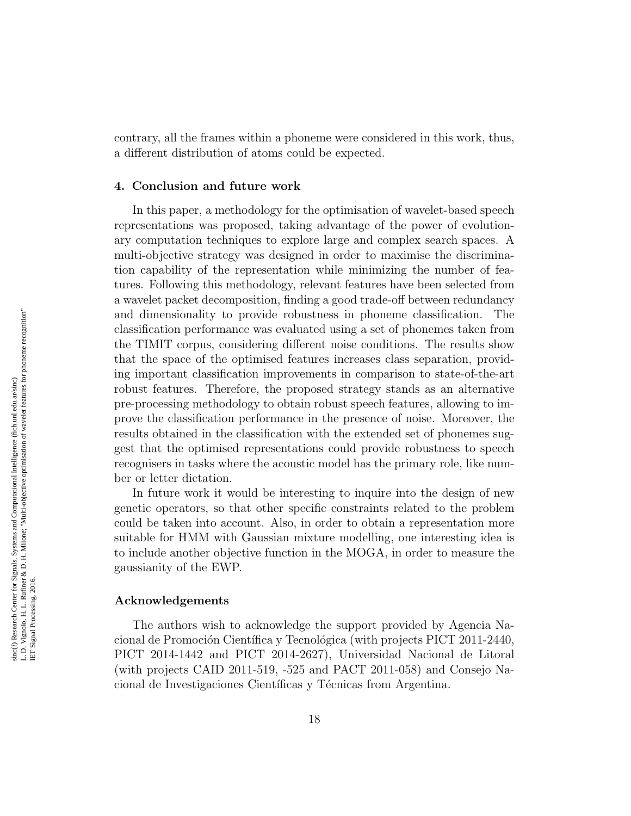contrary, all the frames within a phoneme were considered in this work, thus, a different distribution of atoms could be expected.

# 4. Conclusion and future work

In this paper, a methodology for the optimisation of wavelet-based speech representations was proposed, taking advantage of the power of evolutionary computation techniques to explore large and complex search spaces. A multi-objective strategy was designed in order to maximise the discrimination capability of the representation while minimizing the number of features. Following this methodology, relevant features have been selected from a wavelet packet decomposition, finding a good trade-off between redundancy and dimensionality to provide robustness in phoneme classification. The classification performance was evaluated using a set of phonemes taken from the TIMIT corpus, considering different noise conditions. The results show that the space of the optimised features increases class separation, providing important classification improvements in comparison to state-of-the-art robust features. Therefore, the proposed strategy stands as an alternative pre-processing methodology to obtain robust speech features, allowing to improve the classification performance in the presence of noise. Moreover, the results obtained in the classification with the extended set of phonemes suggest that the optimised representations could provide robustness to speech recognisers in tasks where the acoustic model has the primary role, like number or letter dictation.

In future work it would be interesting to inquire into the design of new genetic operators, so that other specific constraints related to the problem could be taken into account. Also, in order to obtain a representation more suitable for HMM with Gaussian mixture modelling, one interesting idea is to include another objective function in the MOGA, in order to measure the gaussianity of the EWP.

#### Acknowledgements

The authors wish to acknowledge the support provided by Agencia Nacional de Promoción Científica y Tecnológica (with projects PICT 2011-2440, PICT 2014-1442 and PICT 2014-2627), Universidad Nacional de Litoral (with projects CAID 2011-519, -525 and PACT 2011-058) and Consejo Nacional de Investigaciones Científicas y Técnicas from Argentina.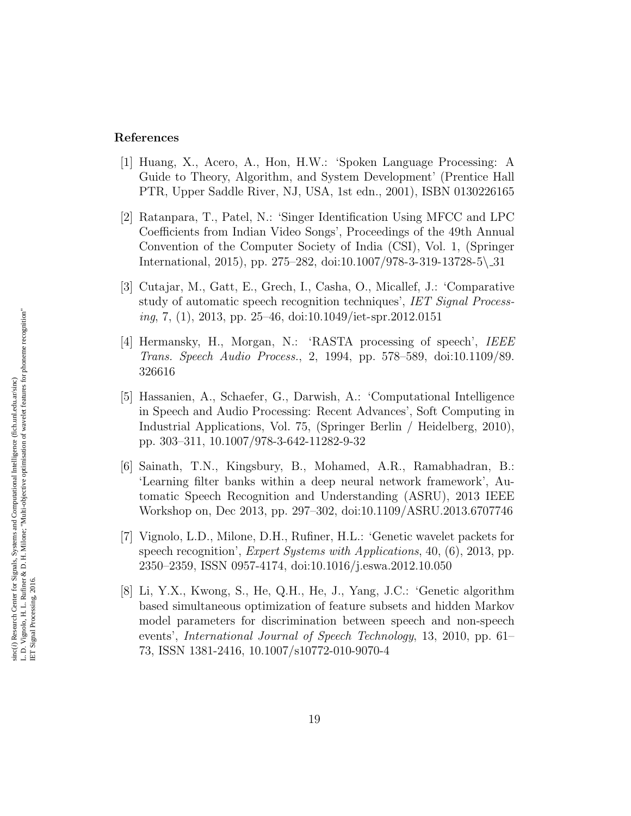## References

- <span id="page-18-0"></span>[1] Huang, X., Acero, A., Hon, H.W.: 'Spoken Language Processing: A Guide to Theory, Algorithm, and System Development' (Prentice Hall PTR, Upper Saddle River, NJ, USA, 1st edn., 2001), ISBN 0130226165
- <span id="page-18-1"></span>[2] Ratanpara, T., Patel, N.: 'Singer Identification Using MFCC and LPC Coefficients from Indian Video Songs', Proceedings of the 49th Annual Convention of the Computer Society of India (CSI), Vol. 1, (Springer International, 2015), pp. 275–282, doi:10.1007/978-3-319-13728-5\ 31
- <span id="page-18-2"></span>[3] Cutajar, M., Gatt, E., Grech, I., Casha, O., Micallef, J.: 'Comparative study of automatic speech recognition techniques', IET Signal Processing, 7, (1), 2013, pp. 25–46, doi:10.1049/iet-spr.2012.0151
- <span id="page-18-3"></span>[4] Hermansky, H., Morgan, N.: 'RASTA processing of speech', IEEE Trans. Speech Audio Process., 2, 1994, pp. 578–589, doi:10.1109/89. 326616
- <span id="page-18-4"></span>[5] Hassanien, A., Schaefer, G., Darwish, A.: 'Computational Intelligence in Speech and Audio Processing: Recent Advances', Soft Computing in Industrial Applications, Vol. 75, (Springer Berlin / Heidelberg, 2010), pp. 303–311, 10.1007/978-3-642-11282-9-32
- <span id="page-18-5"></span>[6] Sainath, T.N., Kingsbury, B., Mohamed, A.R., Ramabhadran, B.: 'Learning filter banks within a deep neural network framework', Automatic Speech Recognition and Understanding (ASRU), 2013 IEEE Workshop on, Dec 2013, pp. 297–302, doi:10.1109/ASRU.2013.6707746
- <span id="page-18-6"></span>[7] Vignolo, L.D., Milone, D.H., Rufiner, H.L.: 'Genetic wavelet packets for speech recognition', *Expert Systems with Applications*, 40, (6), 2013, pp. 2350–2359, ISSN 0957-4174, doi:10.1016/j.eswa.2012.10.050
- <span id="page-18-7"></span>[8] Li, Y.X., Kwong, S., He, Q.H., He, J., Yang, J.C.: 'Genetic algorithm based simultaneous optimization of feature subsets and hidden Markov model parameters for discrimination between speech and non-speech events', International Journal of Speech Technology, 13, 2010, pp. 61– 73, ISSN 1381-2416, 10.1007/s10772-010-9070-4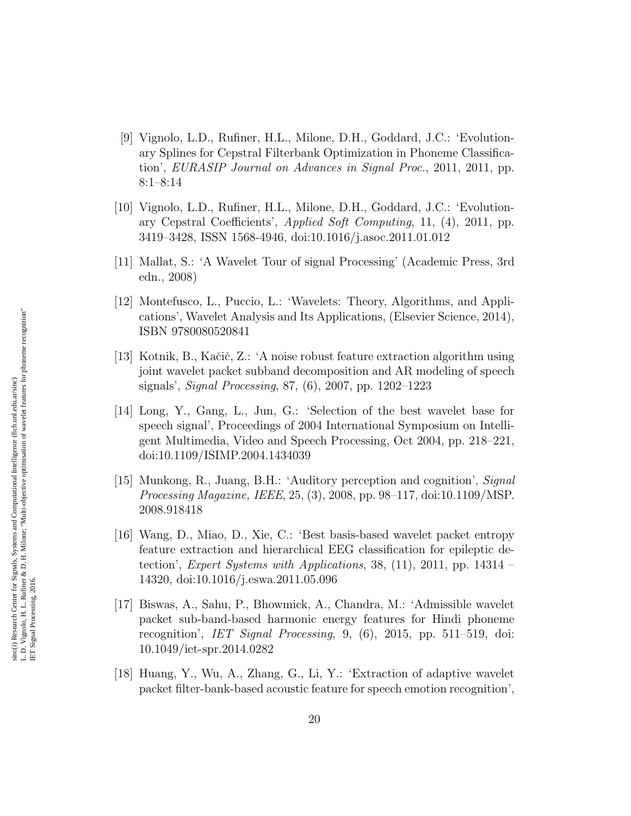- <span id="page-19-0"></span>[9] Vignolo, L.D., Rufiner, H.L., Milone, D.H., Goddard, J.C.: 'Evolutionary Splines for Cepstral Filterbank Optimization in Phoneme Classification', EURASIP Journal on Advances in Signal Proc., 2011, 2011, pp. 8:1–8:14
- <span id="page-19-1"></span>[10] Vignolo, L.D., Rufiner, H.L., Milone, D.H., Goddard, J.C.: 'Evolutionary Cepstral Coefficients', Applied Soft Computing, 11, (4), 2011, pp. 3419–3428, ISSN 1568-4946, doi:10.1016/j.asoc.2011.01.012
- <span id="page-19-2"></span>[11] Mallat, S.: 'A Wavelet Tour of signal Processing' (Academic Press, 3rd edn., 2008)
- <span id="page-19-3"></span>[12] Montefusco, L., Puccio, L.: 'Wavelets: Theory, Algorithms, and Applications', Wavelet Analysis and Its Applications, (Elsevier Science, 2014), ISBN 9780080520841
- <span id="page-19-4"></span>[13] Kotnik, B., Kačič, Z.: 'A noise robust feature extraction algorithm using joint wavelet packet subband decomposition and AR modeling of speech signals', Signal Processing, 87, (6), 2007, pp. 1202–1223
- <span id="page-19-5"></span>[14] Long, Y., Gang, L., Jun, G.: 'Selection of the best wavelet base for speech signal', Proceedings of 2004 International Symposium on Intelligent Multimedia, Video and Speech Processing, Oct 2004, pp. 218–221, doi:10.1109/ISIMP.2004.1434039
- <span id="page-19-6"></span>[15] Munkong, R., Juang, B.H.: 'Auditory perception and cognition', Signal Processing Magazine, IEEE, 25, (3), 2008, pp. 98–117, doi:10.1109/MSP. 2008.918418
- <span id="page-19-7"></span>[16] Wang, D., Miao, D., Xie, C.: 'Best basis-based wavelet packet entropy feature extraction and hierarchical EEG classification for epileptic detection', Expert Systems with Applications, 38,  $(11)$ , 2011, pp. 14314 – 14320, doi:10.1016/j.eswa.2011.05.096
- <span id="page-19-8"></span>[17] Biswas, A., Sahu, P., Bhowmick, A., Chandra, M.: 'Admissible wavelet packet sub-band-based harmonic energy features for Hindi phoneme recognition', IET Signal Processing, 9, (6), 2015, pp. 511–519, doi: 10.1049/iet-spr.2014.0282
- <span id="page-19-9"></span>[18] Huang, Y., Wu, A., Zhang, G., Li, Y.: 'Extraction of adaptive wavelet packet filter-bank-based acoustic feature for speech emotion recognition',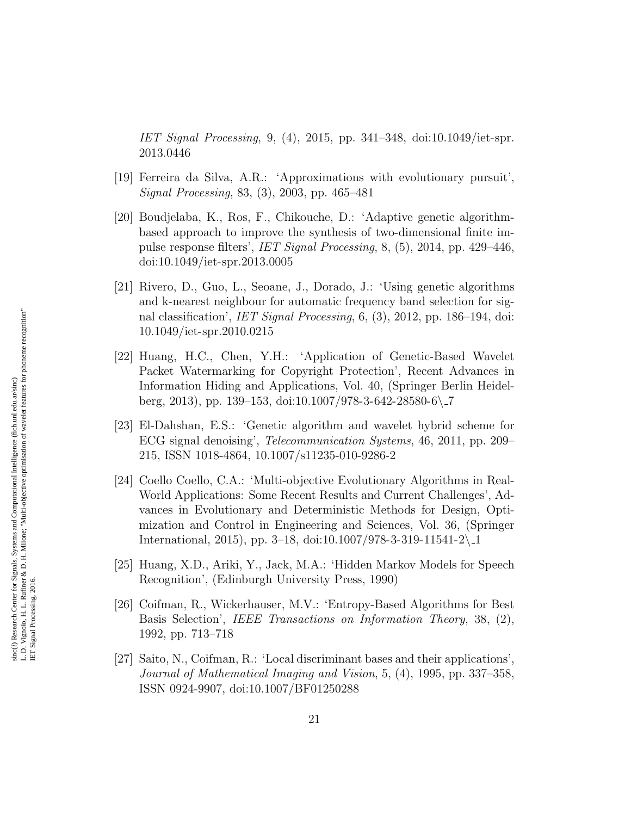IET Signal Processing, 9, (4), 2015, pp. 341–348, doi:10.1049/iet-spr. 2013.0446

- <span id="page-20-0"></span>[19] Ferreira da Silva, A.R.: 'Approximations with evolutionary pursuit', Signal Processing, 83, (3), 2003, pp. 465–481
- <span id="page-20-1"></span>[20] Boudjelaba, K., Ros, F., Chikouche, D.: 'Adaptive genetic algorithmbased approach to improve the synthesis of two-dimensional finite impulse response filters', IET Signal Processing, 8, (5), 2014, pp. 429–446, doi:10.1049/iet-spr.2013.0005
- <span id="page-20-2"></span>[21] Rivero, D., Guo, L., Seoane, J., Dorado, J.: 'Using genetic algorithms and k-nearest neighbour for automatic frequency band selection for signal classification', IET Signal Processing, 6, (3), 2012, pp. 186–194, doi: 10.1049/iet-spr.2010.0215
- <span id="page-20-3"></span>[22] Huang, H.C., Chen, Y.H.: 'Application of Genetic-Based Wavelet Packet Watermarking for Copyright Protection', Recent Advances in Information Hiding and Applications, Vol. 40, (Springer Berlin Heidelberg, 2013), pp. 139–153, doi:10.1007/978-3-642-28580-6\ 7
- <span id="page-20-4"></span>[23] El-Dahshan, E.S.: 'Genetic algorithm and wavelet hybrid scheme for ECG signal denoising', Telecommunication Systems, 46, 2011, pp. 209– 215, ISSN 1018-4864, 10.1007/s11235-010-9286-2
- <span id="page-20-5"></span>[24] Coello Coello, C.A.: 'Multi-objective Evolutionary Algorithms in Real-World Applications: Some Recent Results and Current Challenges', Advances in Evolutionary and Deterministic Methods for Design, Optimization and Control in Engineering and Sciences, Vol. 36, (Springer International, 2015), pp. 3-18, doi:10.1007/978-3-319-11541-2\1
- <span id="page-20-6"></span>[25] Huang, X.D., Ariki, Y., Jack, M.A.: 'Hidden Markov Models for Speech Recognition', (Edinburgh University Press, 1990)
- <span id="page-20-7"></span>[26] Coifman, R., Wickerhauser, M.V.: 'Entropy-Based Algorithms for Best Basis Selection', IEEE Transactions on Information Theory, 38, (2), 1992, pp. 713–718
- <span id="page-20-8"></span>[27] Saito, N., Coifman, R.: 'Local discriminant bases and their applications', Journal of Mathematical Imaging and Vision, 5, (4), 1995, pp. 337–358, ISSN 0924-9907, doi:10.1007/BF01250288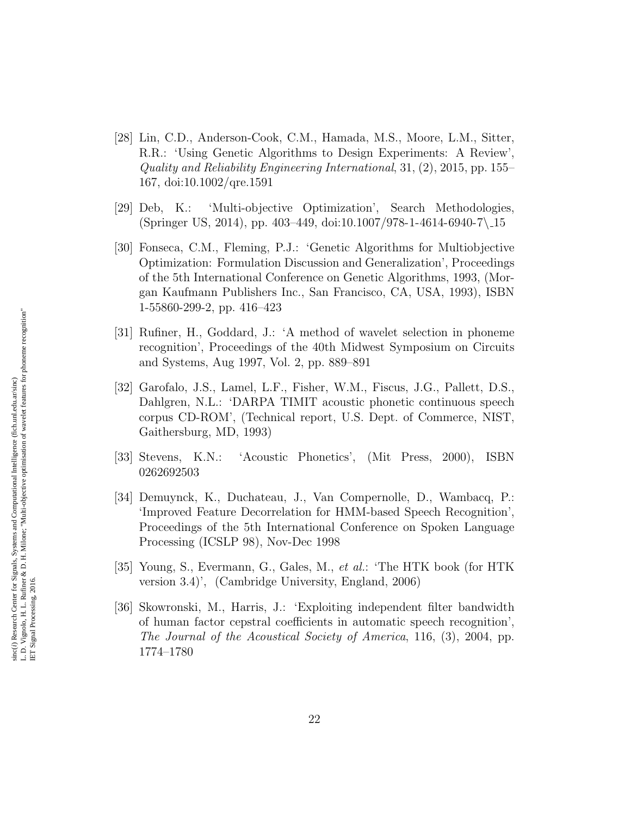- <span id="page-21-0"></span>[28] Lin, C.D., Anderson-Cook, C.M., Hamada, M.S., Moore, L.M., Sitter, R.R.: 'Using Genetic Algorithms to Design Experiments: A Review', Quality and Reliability Engineering International, 31, (2), 2015, pp. 155– 167, doi:10.1002/qre.1591
- <span id="page-21-1"></span>[29] Deb, K.: 'Multi-objective Optimization', Search Methodologies, (Springer US, 2014), pp. 403–449, doi:10.1007/978-1-4614-6940-7\ 15
- <span id="page-21-2"></span>[30] Fonseca, C.M., Fleming, P.J.: 'Genetic Algorithms for Multiobjective Optimization: Formulation Discussion and Generalization', Proceedings of the 5th International Conference on Genetic Algorithms, 1993, (Morgan Kaufmann Publishers Inc., San Francisco, CA, USA, 1993), ISBN 1-55860-299-2, pp. 416–423
- <span id="page-21-3"></span>[31] Rufiner, H., Goddard, J.: 'A method of wavelet selection in phoneme recognition', Proceedings of the 40th Midwest Symposium on Circuits and Systems, Aug 1997, Vol. 2, pp. 889–891
- <span id="page-21-4"></span>[32] Garofalo, J.S., Lamel, L.F., Fisher, W.M., Fiscus, J.G., Pallett, D.S., Dahlgren, N.L.: 'DARPA TIMIT acoustic phonetic continuous speech corpus CD-ROM', (Technical report, U.S. Dept. of Commerce, NIST, Gaithersburg, MD, 1993)
- <span id="page-21-5"></span>[33] Stevens, K.N.: 'Acoustic Phonetics', (Mit Press, 2000), ISBN 0262692503
- <span id="page-21-6"></span>[34] Demuynck, K., Duchateau, J., Van Compernolle, D., Wambacq, P.: 'Improved Feature Decorrelation for HMM-based Speech Recognition', Proceedings of the 5th International Conference on Spoken Language Processing (ICSLP 98), Nov-Dec 1998
- <span id="page-21-7"></span>[35] Young, S., Evermann, G., Gales, M., et al.: 'The HTK book (for HTK version 3.4)', (Cambridge University, England, 2006)
- <span id="page-21-8"></span>[36] Skowronski, M., Harris, J.: 'Exploiting independent filter bandwidth of human factor cepstral coefficients in automatic speech recognition', The Journal of the Acoustical Society of America, 116, (3), 2004, pp. 1774–1780